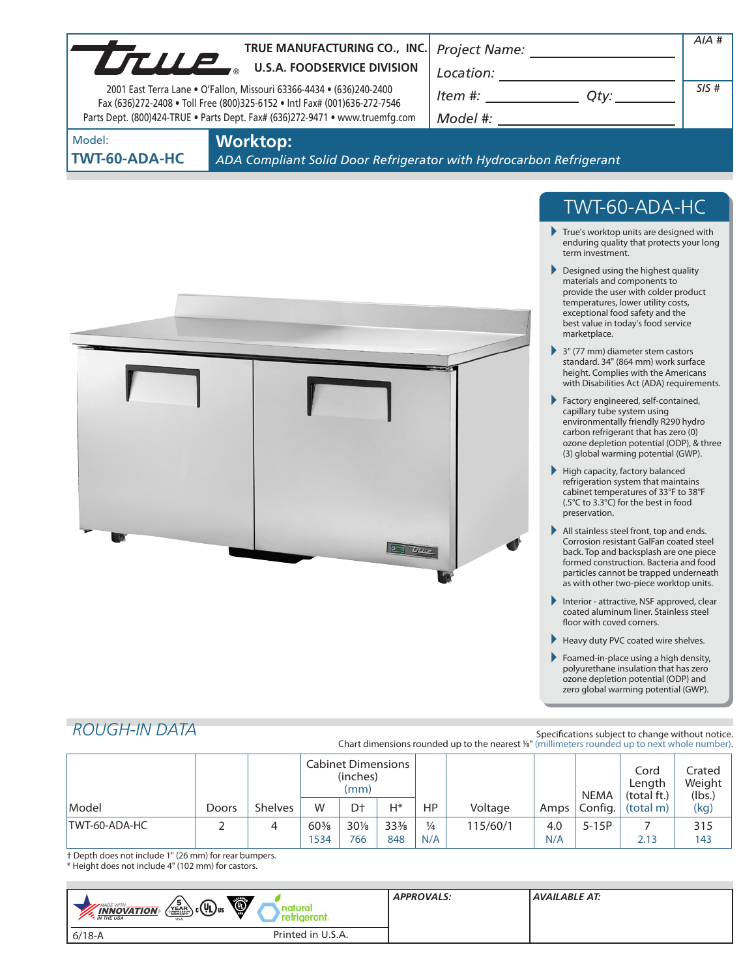|                                                                                                                                                           |       | TRUE MANUFACTURING CO., INC. |             |                                               |                                                                                                                                                                                                                                                                                                                                                                                      |                      |                                                                                                |            |                                                                                |                                                                                                                                                                                                                                                                                                                                                                                                                                                                                                                                                                                                                                                                                                                                                                                                                                                                                                                                                                                                                                                                                                                                                                                                                                                                                                                                                                                                                                                                                       | AIA#                       |
|-----------------------------------------------------------------------------------------------------------------------------------------------------------|-------|------------------------------|-------------|-----------------------------------------------|--------------------------------------------------------------------------------------------------------------------------------------------------------------------------------------------------------------------------------------------------------------------------------------------------------------------------------------------------------------------------------------|----------------------|------------------------------------------------------------------------------------------------|------------|--------------------------------------------------------------------------------|---------------------------------------------------------------------------------------------------------------------------------------------------------------------------------------------------------------------------------------------------------------------------------------------------------------------------------------------------------------------------------------------------------------------------------------------------------------------------------------------------------------------------------------------------------------------------------------------------------------------------------------------------------------------------------------------------------------------------------------------------------------------------------------------------------------------------------------------------------------------------------------------------------------------------------------------------------------------------------------------------------------------------------------------------------------------------------------------------------------------------------------------------------------------------------------------------------------------------------------------------------------------------------------------------------------------------------------------------------------------------------------------------------------------------------------------------------------------------------------|----------------------------|
| TRUE MANUFACTURING CO., INC                                                                                                                               |       |                              |             |                                               |                                                                                                                                                                                                                                                                                                                                                                                      |                      |                                                                                                |            |                                                                                |                                                                                                                                                                                                                                                                                                                                                                                                                                                                                                                                                                                                                                                                                                                                                                                                                                                                                                                                                                                                                                                                                                                                                                                                                                                                                                                                                                                                                                                                                       |                            |
| 2001 East Terra Lane . O'Fallon, Missouri 63366-4434 . (636)240-2400                                                                                      |       |                              |             |                                               | $\begin{picture}(150,10) \put(0,0){\vector(1,0){100}} \put(15,0){\vector(1,0){100}} \put(15,0){\vector(1,0){100}} \put(15,0){\vector(1,0){100}} \put(15,0){\vector(1,0){100}} \put(15,0){\vector(1,0){100}} \put(15,0){\vector(1,0){100}} \put(15,0){\vector(1,0){100}} \put(15,0){\vector(1,0){100}} \put(15,0){\vector(1,0){100}} \put(15,0){\vector(1,0){100}}$<br>$Item #:$ Qty: |                      |                                                                                                |            | SIS#                                                                           |                                                                                                                                                                                                                                                                                                                                                                                                                                                                                                                                                                                                                                                                                                                                                                                                                                                                                                                                                                                                                                                                                                                                                                                                                                                                                                                                                                                                                                                                                       |                            |
| Fax (636)272-2408 . Toll Free (800)325-6152 . Intl Fax# (001)636-272-7546<br>Parts Dept. (800)424-TRUE . Parts Dept. Fax# (636)272-9471 . www.truemfg.com |       |                              |             |                                               |                                                                                                                                                                                                                                                                                                                                                                                      |                      | Model #: _________________________                                                             |            |                                                                                |                                                                                                                                                                                                                                                                                                                                                                                                                                                                                                                                                                                                                                                                                                                                                                                                                                                                                                                                                                                                                                                                                                                                                                                                                                                                                                                                                                                                                                                                                       |                            |
| Model:                                                                                                                                                    |       | <b>Worktop:</b>              |             |                                               |                                                                                                                                                                                                                                                                                                                                                                                      |                      |                                                                                                |            |                                                                                |                                                                                                                                                                                                                                                                                                                                                                                                                                                                                                                                                                                                                                                                                                                                                                                                                                                                                                                                                                                                                                                                                                                                                                                                                                                                                                                                                                                                                                                                                       |                            |
| TWT-60-ADA-HC                                                                                                                                             |       |                              |             |                                               |                                                                                                                                                                                                                                                                                                                                                                                      |                      | ADA Compliant Solid Door Refrigerator with Hydrocarbon Refrigerant                             |            |                                                                                |                                                                                                                                                                                                                                                                                                                                                                                                                                                                                                                                                                                                                                                                                                                                                                                                                                                                                                                                                                                                                                                                                                                                                                                                                                                                                                                                                                                                                                                                                       |                            |
| <b>ROUGH-IN DATA</b>                                                                                                                                      |       |                              |             |                                               |                                                                                                                                                                                                                                                                                                                                                                                      | $T_{HUT}$            |                                                                                                |            | term investment.<br>marketplace.<br>preservation.<br>floor with coved corners. | TWT-60-ADA-HC<br>$\blacktriangleright$ True's worktop units are designed with<br>enduring quality that protects your long<br>Designed using the highest quality<br>materials and components to<br>provide the user with colder product<br>temperatures, lower utility costs,<br>exceptional food safety and the<br>best value in today's food service<br>3" (77 mm) diameter stem castors<br>standard. 34" (864 mm) work surface<br>height. Complies with the Americans<br>with Disabilities Act (ADA) requirements.<br>Factory engineered, self-contained,<br>capillary tube system using<br>environmentally friendly R290 hydro<br>carbon refrigerant that has zero (0)<br>ozone depletion potential (ODP), & three<br>(3) global warming potential (GWP).<br>High capacity, factory balanced<br>refrigeration system that maintains<br>cabinet temperatures of 33°F to 38°F<br>(.5°C to 3.3°C) for the best in food<br>All stainless steel front, top and ends.<br>Corrosion resistant GalFan coated steel<br>back. Top and backsplash are one piece<br>formed construction. Bacteria and food<br>particles cannot be trapped underneath<br>as with other two-piece worktop units.<br>Interior - attractive, NSF approved, clear<br>coated aluminum liner. Stainless steel<br>Heavy duty PVC coated wire shelves.<br>Foamed-in-place using a high density,<br>polyurethane insulation that has zero<br>ozone depletion potential (ODP) and<br>zero global warming potential (GWP). |                            |
|                                                                                                                                                           |       |                              |             |                                               |                                                                                                                                                                                                                                                                                                                                                                                      |                      | Chart dimensions rounded up to the nearest 1/8" (millimeters rounded up to next whole number). |            |                                                                                | Specifications subject to change without notice.                                                                                                                                                                                                                                                                                                                                                                                                                                                                                                                                                                                                                                                                                                                                                                                                                                                                                                                                                                                                                                                                                                                                                                                                                                                                                                                                                                                                                                      |                            |
|                                                                                                                                                           |       |                              |             | <b>Cabinet Dimensions</b><br>(inches)<br>(mm) |                                                                                                                                                                                                                                                                                                                                                                                      |                      |                                                                                                |            | <b>NEMA</b>                                                                    | Cord<br>Length<br>(total ft.)                                                                                                                                                                                                                                                                                                                                                                                                                                                                                                                                                                                                                                                                                                                                                                                                                                                                                                                                                                                                                                                                                                                                                                                                                                                                                                                                                                                                                                                         | Crated<br>Weight<br>(lbs.) |
| Model                                                                                                                                                     | Doors | <b>Shelves</b>               | W           | D†                                            | H*                                                                                                                                                                                                                                                                                                                                                                                   | HP                   | Voltage                                                                                        | Amps       | Config.                                                                        | (total m)                                                                                                                                                                                                                                                                                                                                                                                                                                                                                                                                                                                                                                                                                                                                                                                                                                                                                                                                                                                                                                                                                                                                                                                                                                                                                                                                                                                                                                                                             | (kg)                       |
| TWT-60-ADA-HC                                                                                                                                             | 2     | 4                            | 60%<br>1534 | $30\%$<br>766                                 | 33%<br>848                                                                                                                                                                                                                                                                                                                                                                           | $\frac{1}{4}$<br>N/A | 115/60/1                                                                                       | 4.0<br>N/A | $5-15P$                                                                        | $\overline{7}$<br>2.13                                                                                                                                                                                                                                                                                                                                                                                                                                                                                                                                                                                                                                                                                                                                                                                                                                                                                                                                                                                                                                                                                                                                                                                                                                                                                                                                                                                                                                                                | 315<br>143                 |

† Depth does not include 1" (26 mm) for rear bumpers.

\* Height does not include 4" (102 mm) for castors.

**COL** 

| Ö<br>$_{\rm c}$ (Up) <sub>us</sub><br><b>MADE WITH_</b><br>$\frac{INNOVATION}{IN THE USA}$<br><b>USA</b> | ture<br>reram.    | <b>APPROVALS:</b> | AVAILABLE AT: |
|----------------------------------------------------------------------------------------------------------|-------------------|-------------------|---------------|
| $6/18 - A$                                                                                               | Printed in U.S.A. |                   |               |